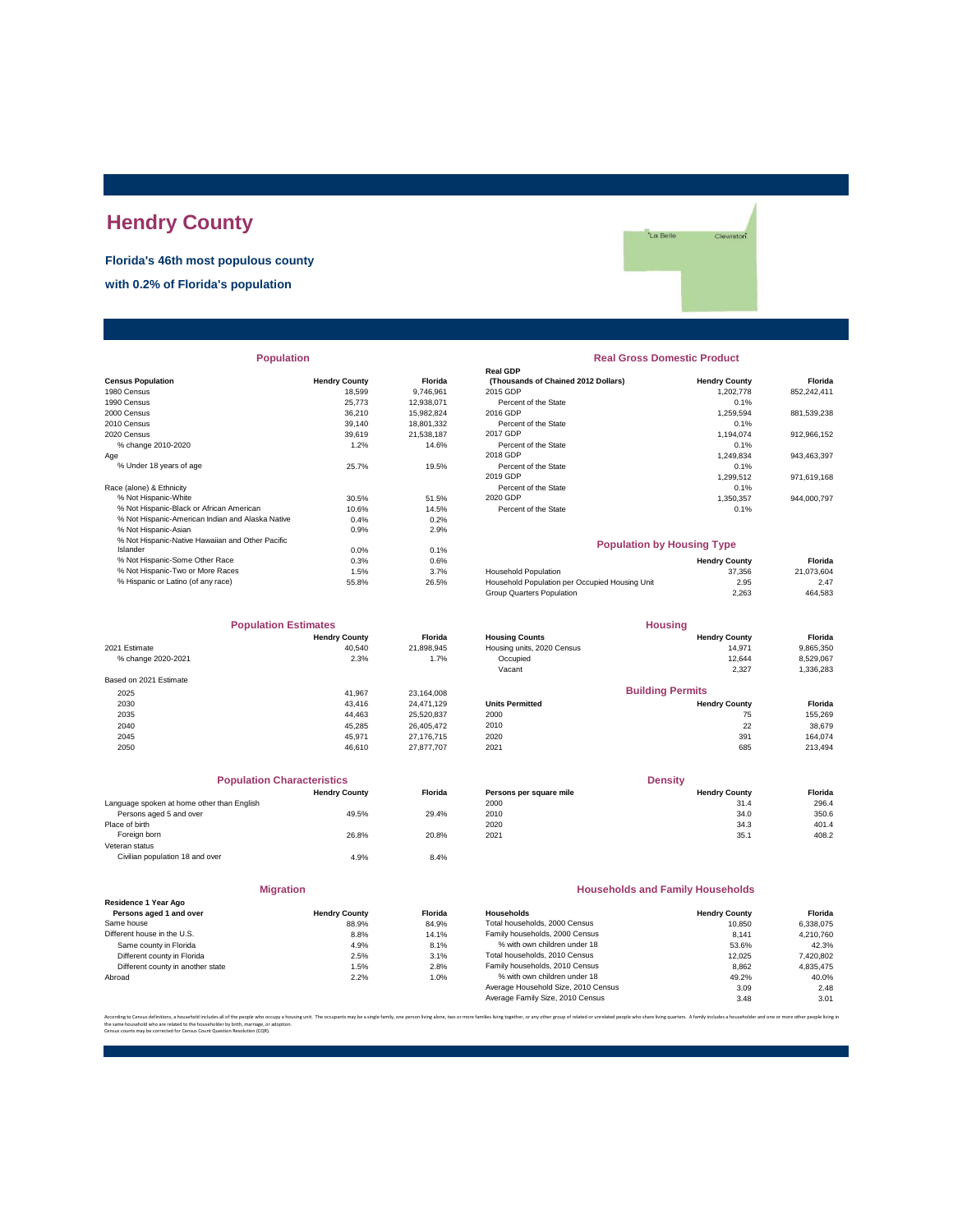# **Hendry County**

**Florida's 46th most populous county**

**with 0.2% of Florida's population**

'La Belle Clewiston<sup>\*</sup>

|                                                  |                      |            | Real GDP                                       |                      |             |
|--------------------------------------------------|----------------------|------------|------------------------------------------------|----------------------|-------------|
| <b>Census Population</b>                         | <b>Hendry County</b> | Florida    | (Thousands of Chained 2012 Dollars)            | <b>Hendry County</b> | Florida     |
| 1980 Census                                      | 18.599               | 9,746,961  | 2015 GDP                                       | 1,202,778            | 852,242,411 |
| 1990 Census                                      | 25,773               | 12,938,071 | Percent of the State                           | 0.1%                 |             |
| 2000 Census                                      | 36,210               | 15,982,824 | 2016 GDP                                       | 1,259,594            | 881,539,238 |
| 2010 Census                                      | 39,140               | 18,801,332 | Percent of the State                           | 0.1%                 |             |
| 2020 Census                                      | 39.619               | 21.538.187 | 2017 GDP                                       | 1.194.074            | 912,966,152 |
| % change 2010-2020                               | 1.2%                 | 14.6%      | Percent of the State                           | 0.1%                 |             |
| Age                                              |                      |            | 2018 GDP                                       | 1,249,834            | 943,463,397 |
| % Under 18 years of age                          | 25.7%                | 19.5%      | Percent of the State                           | 0.1%                 |             |
|                                                  |                      |            | 2019 GDP                                       | 1,299,512            | 971,619,168 |
| Race (alone) & Ethnicity                         |                      |            | Percent of the State                           | 0.1%                 |             |
| % Not Hispanic-White                             | 30.5%                | 51.5%      | 2020 GDP                                       | 1,350,357            | 944,000,797 |
| % Not Hispanic-Black or African American         | 10.6%                | 14.5%      | Percent of the State                           | 0.1%                 |             |
| % Not Hispanic-American Indian and Alaska Native | 0.4%                 | 0.2%       |                                                |                      |             |
| % Not Hispanic-Asian                             | 0.9%                 | 2.9%       |                                                |                      |             |
| % Not Hispanic-Native Hawaiian and Other Pacific |                      |            | <b>Population by Housing Type</b>              |                      |             |
| Islander                                         | 0.0%                 | 0.1%       |                                                |                      |             |
| % Not Hispanic-Some Other Race                   | 0.3%                 | 0.6%       |                                                | <b>Hendry County</b> | Florida     |
| % Not Hispanic-Two or More Races                 | 1.5%                 | 3.7%       | <b>Household Population</b>                    | 37.356               | 21,073,604  |
| % Hispanic or Latino (of any race)               | 55.8%                | 26.5%      | Household Population per Occupied Housing Unit | 2.95                 | 2.47        |
|                                                  |                      |            |                                                |                      |             |

| <b>Population Estimates</b> |                      |                | <b>Housing</b>             |                      |           |
|-----------------------------|----------------------|----------------|----------------------------|----------------------|-----------|
|                             | <b>Hendry County</b> | <b>Florida</b> | <b>Housing Counts</b>      | <b>Hendry County</b> | Florida   |
| 2021 Estimate               | 40.540               | 21,898,945     | Housing units, 2020 Census | 14.971               | 9,865,350 |
| % change 2020-2021          | 2.3%                 | 1.7%           | Occupied                   | 12.644               | 8,529,067 |
|                             |                      |                | Vacant                     | 2,327                | 1,336,283 |
| Based on 2021 Estimate      |                      |                |                            |                      |           |
| 2025                        | 41.967               | 23,164,008     | <b>Building Permits</b>    |                      |           |
| 2030                        | 43.416               | 24.471.129     | <b>Units Permitted</b>     | <b>Hendry County</b> | Florida   |
| 2035                        | 44.463               | 25.520.837     | 2000                       | 75                   | 155,269   |
| 2040                        | 45.285               | 26.405.472     | 2010                       | 22                   | 38,679    |
| 2045                        | 45.971               | 27.176.715     | 2020                       | 391                  | 164.074   |
| 2050                        | 46.610               | 27,877,707     | 2021                       | 685                  | 213,494   |
|                             |                      |                |                            |                      |           |

|                                            | <b>Population Characteristics</b> |                |
|--------------------------------------------|-----------------------------------|----------------|
|                                            | <b>Hendry County</b>              | <b>Florida</b> |
| Language spoken at home other than English |                                   |                |
| Persons aged 5 and over                    | 49.5%                             | 29.4%          |
| Place of birth                             |                                   |                |
| Foreign born                               | 26.8%                             | 20.8%          |
| Veteran status                             |                                   |                |
| Civilian population 18 and over            | 4.9%                              | 8.4%           |
|                                            |                                   |                |

### **Migration**

|                                   | -------------        |         |
|-----------------------------------|----------------------|---------|
| Residence 1 Year Ago              |                      |         |
| Persons aged 1 and over           | <b>Hendry County</b> | Florida |
| Same house                        | 88.9%                | 84.9%   |
| Different house in the U.S.       | 8.8%                 | 14.1%   |
| Same county in Florida            | 4.9%                 | 8.1%    |
| Different county in Florida       | 2.5%                 | 3.1%    |
| Different county in another state | 1.5%                 | 2.8%    |
| Abroad                            | 2.2%                 | 1.0%    |
|                                   |                      |         |

# **Population Real Gross Domestic Product**

| sus Population                                   | <b>Hendry County</b> | <b>Florida</b> | (Thousands of Chained 2012 Dollars) | <b>Hendry County</b> | Florida     |
|--------------------------------------------------|----------------------|----------------|-------------------------------------|----------------------|-------------|
| 0 Census                                         | 18.599               | 9.746.961      | 2015 GDP                            | 1.202.778            | 852.242.411 |
| 0 Census                                         | 25,773               | 12.938.071     | Percent of the State                | 0.1%                 |             |
| 0 Census                                         | 36,210               | 15.982.824     | 2016 GDP                            | 1.259.594            | 881.539.238 |
| 0 Census                                         | 39,140               | 18.801.332     | Percent of the State                | 0.1%                 |             |
| 0 Census                                         | 39.619               | 21.538.187     | 2017 GDP                            | 1.194.074            | 912.966.152 |
| % change 2010-2020                               | 1.2%                 | 14.6%          | Percent of the State                | 0.1%                 |             |
|                                                  |                      |                | 2018 GDP                            | 1.249.834            | 943.463.397 |
| % Under 18 vears of age                          | 25.7%                | 19.5%          | Percent of the State                | 0.1%                 |             |
|                                                  |                      |                | 2019 GDP                            | 1.299.512            | 971,619,168 |
| e (alone) & Ethnicity                            |                      |                | Percent of the State                | 0.1%                 |             |
| % Not Hispanic-White                             | 30.5%                | 51.5%          | 2020 GDP                            | 1.350.357            | 944.000.797 |
| % Not Hispanic-Black or African American         | 10.6%                | 14.5%          | Percent of the State                | 0.1%                 |             |
| % Not Hiepanic American Indian and Algeka Native | 0.491                | 0.291          |                                     |                      |             |

### **Population by Housing Type**

| % Not Hispanic-Some Other Race     | 0.3%  | 0.6%  |                                                | <b>Hendry County</b> | Florida    |
|------------------------------------|-------|-------|------------------------------------------------|----------------------|------------|
| % Not Hispanic-Two or More Races   | .5%   | 3.7%  | <b>Household Population</b>                    | 37.356               | 21.073.604 |
| % Hispanic or Latino (of any race) | 55.8% | 26.5% | Household Population per Occupied Housing Unit | 2.95                 | 2.47       |
|                                    |       |       | Group Quarters Population                      | 2.263                | 464.583    |

| <b>Population Estimates</b> |                      |                | <b>Housing</b>             |                         |                |
|-----------------------------|----------------------|----------------|----------------------------|-------------------------|----------------|
|                             | <b>Hendry County</b> | <b>Florida</b> | <b>Housing Counts</b>      | <b>Hendry County</b>    | <b>Florida</b> |
| 2021 Estimate               | 40.540               | 21.898.945     | Housing units, 2020 Census | 14.971                  | 9,865,350      |
| % change 2020-2021          | 2.3%                 | 1.7%           | Occupied                   | 12.644                  | 8,529,067      |
|                             |                      |                | Vacant                     | 2,327                   | 1,336,283      |
| Based on 2021 Estimate      |                      |                |                            |                         |                |
| 2025                        | 41.967               | 23.164.008     |                            | <b>Building Permits</b> |                |
| 2030                        | 43.416               | 24.471.129     | <b>Units Permitted</b>     | <b>Hendry County</b>    | Florida        |
| 2035                        | 44.463               | 25.520.837     | 2000                       | 75                      | 155.269        |
| 2040                        | 45.285               | 26,405,472     | 2010                       | 22                      | 38,679         |
| 2045                        | 45.971               | 27 176 715     | 2020                       | 301                     | 164.074        |

| <b>Population Characteristics</b>          |                      |                | <b>Density</b>          |                      |         |
|--------------------------------------------|----------------------|----------------|-------------------------|----------------------|---------|
|                                            | <b>Hendry County</b> | <b>Florida</b> | Persons per square mile | <b>Hendry County</b> | Florida |
| Language spoken at home other than English |                      |                | 2000                    | 31.4                 | 296.4   |
| Persons aged 5 and over                    | 49.5%                | 29.4%          | 2010                    | 34.0                 | 350.6   |
| Place of birth                             |                      |                | 2020                    | 34.3                 | 401.4   |
| Foreign born                               | 26.8%                | 20.8%          | 2021                    | 35.1                 | 408.2   |

### **Households and Family Households**

| <b>Hendry County</b> | <b>Florida</b> | Households                          | <b>Hendry County</b> | Florida   |
|----------------------|----------------|-------------------------------------|----------------------|-----------|
| 88.9%                | 84.9%          | Total households, 2000 Census       | 10.850               | 6.338.075 |
| 8.8%                 | 14.1%          | Family households, 2000 Census      | 8.141                | 4.210.760 |
| 4.9%                 | 8.1%           | % with own children under 18        | 53.6%                | 42.3%     |
| 2.5%                 | 3.1%           | Total households, 2010 Census       | 12.025               | 7,420,802 |
| 1.5%                 | 2.8%           | Family households, 2010 Census      | 8.862                | 4.835.475 |
| 2.2%                 | 1.0%           | % with own children under 18        | 49.2%                | 40.0%     |
|                      |                | Average Household Size, 2010 Census | 3.09                 | 2.48      |
|                      |                | Average Family Size, 2010 Census    | 3.48                 | 3.01      |
|                      |                |                                     |                      |           |

.<br>Interfamilies living together, or any other group of related or unrelated people who share living quarters. A family includes a householder and one or more other people li the same household who are related to the householder by birth, marriage, or adoption. Census counts may be corrected for Census Count Question Resolution (CQR).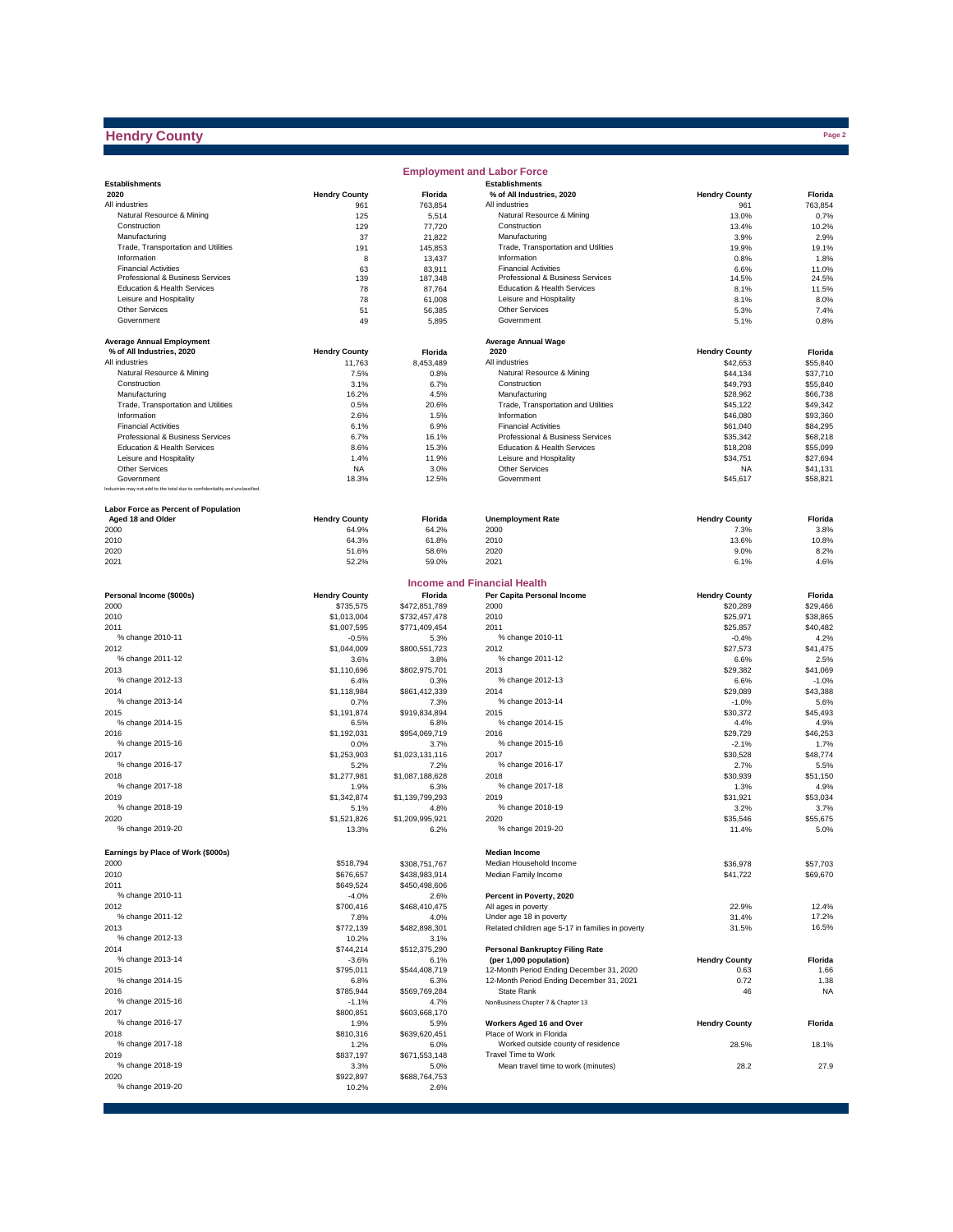## **Hendry County**

|                                                                              |                      |                         | <b>Employment and Labor Force</b>                  |                      |                      |
|------------------------------------------------------------------------------|----------------------|-------------------------|----------------------------------------------------|----------------------|----------------------|
| <b>Establishments</b>                                                        |                      |                         | <b>Establishments</b>                              |                      |                      |
| 2020                                                                         | <b>Hendry County</b> | Florida                 | % of All Industries, 2020                          | <b>Hendry County</b> | Florida              |
| All industries                                                               | 961                  | 763,854                 | All industries                                     | 961                  | 763,854              |
| Natural Resource & Mining                                                    | 125                  | 5,514                   | Natural Resource & Mining                          | 13.0%                | 0.7%                 |
| Construction                                                                 | 129                  | 77,720                  | Construction                                       | 13.4%                | 10.2%                |
| Manufacturing                                                                | 37                   | 21,822                  | Manufacturing                                      | 3.9%                 | 2.9%                 |
| Trade, Transportation and Utilities<br>Information                           | 191<br>8             | 145,853                 | Trade, Transportation and Utilities<br>Information | 19.9%<br>0.8%        | 19.1%                |
| <b>Financial Activities</b>                                                  | 63                   | 13,437<br>83,911        | <b>Financial Activities</b>                        | 6.6%                 | 1.8%<br>11.0%        |
| Professional & Business Services                                             | 139                  | 187,348                 | Professional & Business Services                   | 14.5%                | 24.5%                |
| Education & Health Services                                                  | 78                   | 87,764                  | Education & Health Services                        | 8.1%                 | 11.5%                |
| Leisure and Hospitality                                                      | 78                   | 61,008                  | Leisure and Hospitality                            | 8.1%                 | 8.0%                 |
| <b>Other Services</b>                                                        | 51                   | 56,385                  | <b>Other Services</b>                              | 5.3%                 | 7.4%                 |
| Government                                                                   | 49                   | 5,895                   | Government                                         | 5.1%                 | 0.8%                 |
|                                                                              |                      |                         |                                                    |                      |                      |
| <b>Average Annual Employment</b>                                             |                      |                         | <b>Average Annual Wage</b>                         |                      |                      |
| % of All Industries, 2020                                                    | <b>Hendry County</b> | Florida                 | 2020                                               | <b>Hendry County</b> | Florida              |
| All industries                                                               | 11,763               | 8,453,489               | All industries                                     | \$42,653             | \$55,840             |
| Natural Resource & Mining                                                    | 7.5%                 | 0.8%                    | Natural Resource & Mining                          | \$44,134             | \$37,710             |
| Construction                                                                 | 3.1%                 | 6.7%                    | Construction                                       | \$49,793             | \$55,840             |
| Manufacturing                                                                | 16.2%                | 4.5%                    | Manufacturing                                      | \$28,962             | \$66,738             |
| Trade, Transportation and Utilities                                          | 0.5%                 | 20.6%                   | Trade, Transportation and Utilities                | \$45,122             | \$49,342             |
| Information                                                                  | 2.6%                 | 1.5%                    | Information                                        | \$46,080             | \$93,360             |
| <b>Financial Activities</b>                                                  | 6.1%                 | 6.9%                    | <b>Financial Activities</b>                        | \$61,040             | \$84,295             |
| Professional & Business Services                                             | 6.7%                 | 16.1%                   | Professional & Business Services                   | \$35,342             | \$68,218             |
| Education & Health Services                                                  | 8.6%                 | 15.3%                   | Education & Health Services                        | \$18,208             | \$55,099             |
| Leisure and Hospitality                                                      | 1.4%                 | 11.9%                   | Leisure and Hospitality                            | \$34,751             | \$27,694             |
| <b>Other Services</b>                                                        | <b>NA</b>            | 3.0%                    | Other Services                                     | <b>NA</b>            | \$41,131             |
| Government                                                                   | 18.3%                | 12.5%                   | Government                                         | \$45,617             | \$58,821             |
| Industries may not add to the total due to confidentiality and unclassified. |                      |                         |                                                    |                      |                      |
|                                                                              |                      |                         |                                                    |                      |                      |
| Labor Force as Percent of Population                                         |                      |                         |                                                    |                      |                      |
| Aged 18 and Older                                                            | <b>Hendry County</b> | Florida                 | <b>Unemployment Rate</b>                           | <b>Hendry County</b> | Florida              |
| 2000                                                                         | 64.9%                | 64.2%                   | 2000                                               | 7.3%                 | 3.8%                 |
| 2010                                                                         | 64.3%                | 61.8%                   | 2010                                               | 13.6%                | 10.8%                |
| 2020                                                                         | 51.6%                | 58.6%                   | 2020                                               | 9.0%                 | 8.2%                 |
| 2021                                                                         | 52.2%                | 59.0%                   | 2021                                               | 6.1%                 | 4.6%                 |
|                                                                              |                      |                         |                                                    |                      |                      |
|                                                                              |                      |                         | <b>Income and Financial Health</b>                 |                      |                      |
| Personal Income (\$000s)                                                     | <b>Hendry County</b> | Florida                 | Per Capita Personal Income                         | <b>Hendry County</b> | Florida              |
| 2000                                                                         | \$735,575            | \$472,851,789           | 2000                                               | \$20,289             | \$29,466             |
| 2010                                                                         | \$1,013,004          | \$732,457,478           | 2010                                               | \$25,971             | \$38,865             |
| 2011                                                                         | \$1,007,595          | \$771,409,454           | 2011                                               | \$25,857             | \$40,482             |
| % change 2010-11                                                             | $-0.5%$              | 5.3%                    | % change 2010-11                                   | $-0.4%$              | 4.2%                 |
| 2012                                                                         | \$1,044,009          | \$800,551,723           | 2012                                               | \$27,573             | \$41,475             |
| % change 2011-12                                                             | 3.6%                 | 3.8%                    | % change 2011-12                                   | 6.6%                 | 2.5%                 |
| 2013                                                                         | \$1,110,696          | \$802,975,701           | 2013                                               | \$29,382             | \$41,069             |
| % change 2012-13                                                             | 6.4%                 | 0.3%                    | % change 2012-13                                   | 6.6%                 | $-1.0%$              |
| 2014                                                                         | \$1,118,984          | \$861,412,339           | 2014                                               | \$29,089             | \$43,388             |
| % change 2013-14                                                             | 0.7%                 | 7.3%                    | % change 2013-14                                   | $-1.0%$              | 5.6%                 |
| 2015<br>% change 2014-15                                                     | \$1,191,874          | \$919,834,894           | 2015<br>% change 2014-15                           | \$30,372             | \$45,493             |
|                                                                              | 6.5%                 | 6.8%                    |                                                    | 4.4%                 | 4.9%                 |
| 2016<br>% change 2015-16                                                     | \$1,192,031          | \$954,069,719           | 2016<br>% change 2015-16                           | \$29,729             | \$46,253             |
| 2017                                                                         | 0.0%                 | 3.7%                    | 2017                                               | $-2.1%$              | 1.7%                 |
| % change 2016-17                                                             | \$1,253,903          | \$1,023,131,116         | % change 2016-17                                   | \$30,528             | \$48,774             |
| 2018                                                                         | 5.2%                 | 7.2%                    | 2018                                               | 2.7%<br>\$30,939     | 5.5%<br>\$51.150     |
| % change 2017-18                                                             | \$1,277,981          | \$1,087,188,628         | % change 2017-18                                   | 1.3%                 | 4.9%                 |
| 2019                                                                         | 1.9%<br>\$1,342,874  | 6.3%<br>\$1,139,799,293 | 2019                                               | \$31.921             | \$53,034             |
| % change 2018-19                                                             | 5.1%                 | 4.8%                    | % change 2018-19                                   | 3.2%                 | 3.7%                 |
| 2020                                                                         | \$1,521,826          | \$1,209,995,921         | 2020                                               | \$35,546             | \$55,675             |
| % change 2019-20                                                             | 13.3%                | 6.2%                    | % change 2019-20                                   | 11.4%                | 5.0%                 |
|                                                                              |                      |                         |                                                    |                      |                      |
| Earnings by Place of Work (\$000s)                                           |                      |                         | <b>Median Income</b>                               |                      |                      |
| 2000                                                                         |                      |                         | Median Household Income                            |                      |                      |
| 2010                                                                         | \$518,794            | \$308,751,767           | Median Family Income                               | \$36,978<br>\$41,722 | \$57,703<br>\$69,670 |
| 2011                                                                         | \$676,657            | \$438,983,914           |                                                    |                      |                      |
| % change 2010-11                                                             | \$649,524            | \$450,498,606           | Percent in Poverty, 2020                           |                      |                      |
| 2012                                                                         | $-4.0%$<br>\$700,416 | 2.6%<br>\$468,410,475   | All ages in poverty                                | 22.9%                | 12.4%                |
| % change 2011-12                                                             | 7.8%                 | 4.0%                    | Under age 18 in poverty                            | 31.4%                | 17.2%                |
| 2013                                                                         | \$772,139            | \$482,898,301           | Related children age 5-17 in families in poverty   | 31.5%                | 16.5%                |
| % change 2012-13                                                             | 10.2%                | 3.1%                    |                                                    |                      |                      |
| 2014                                                                         | \$744,214            | \$512,375,290           | <b>Personal Bankruptcy Filing Rate</b>             |                      |                      |
| % change 2013-14                                                             | $-3.6%$              | 6.1%                    | (per 1,000 population)                             | <b>Hendry County</b> | Florida              |
| 2015                                                                         | \$795,011            | \$544,408,719           | 12-Month Period Ending December 31, 2020           | 0.63                 | 1.66                 |
| % change 2014-15                                                             | 6.8%                 | 6.3%                    | 12-Month Period Ending December 31, 2021           | 0.72                 | 1.38                 |
| 2016                                                                         | \$785,944            | \$569,769,284           | State Rank                                         | 46                   | <b>NA</b>            |
| % change 2015-16                                                             | $-1.1%$              | 4.7%                    | NonBusiness Chapter 7 & Chapter 13                 |                      |                      |
| 2017                                                                         | \$800,851            | \$603,668,170           |                                                    |                      |                      |
| % change 2016-17                                                             | 1.9%                 | 5.9%                    | Workers Aged 16 and Over                           | <b>Hendry County</b> | Florida              |
| 2018                                                                         | \$810,316            | \$639,620,451           | Place of Work in Florida                           |                      |                      |
| % change 2017-18                                                             | 1.2%                 | 6.0%                    | Worked outside county of residence                 | 28.5%                | 18.1%                |
| 2019                                                                         | \$837,197            | \$671,553,148           | Travel Time to Work                                |                      |                      |
| % change 2018-19                                                             | 3.3%                 | 5.0%                    | Mean travel time to work (minutes)                 | 28.2                 | 27.9                 |
| 2020                                                                         | \$922,897            | \$688,764,753           |                                                    |                      |                      |
| % change 2019-20                                                             | 10.2%                | 2.6%                    |                                                    |                      |                      |